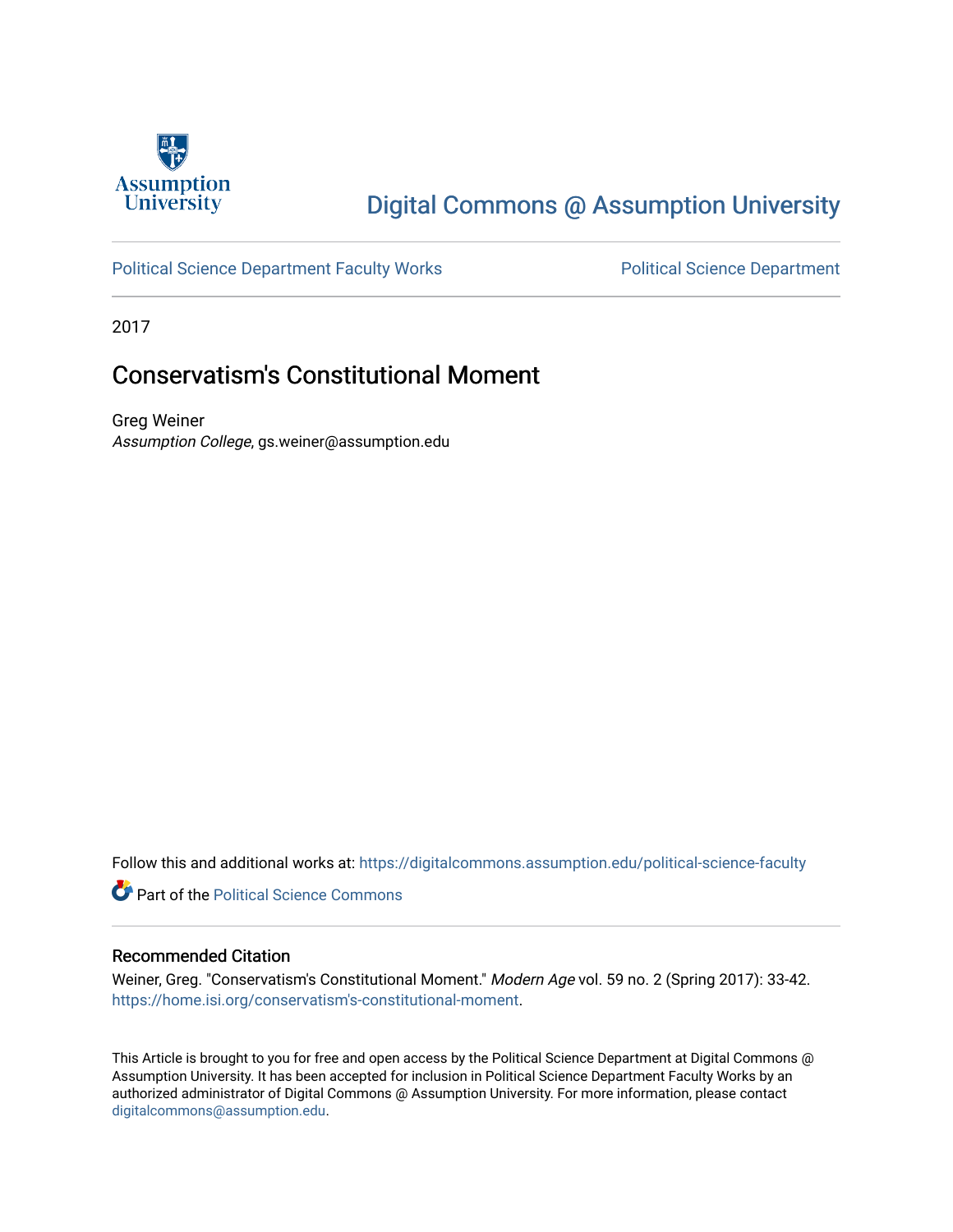

## [Digital Commons @ Assumption University](https://digitalcommons.assumption.edu/)

### [Political Science Department Faculty Works](https://digitalcommons.assumption.edu/political-science-faculty) **Political Science Department**

2017

### Conservatism's Constitutional Moment

Greg Weiner Assumption College, gs.weiner@assumption.edu

Follow this and additional works at: [https://digitalcommons.assumption.edu/political-science-faculty](https://digitalcommons.assumption.edu/political-science-faculty?utm_source=digitalcommons.assumption.edu%2Fpolitical-science-faculty%2F77&utm_medium=PDF&utm_campaign=PDFCoverPages)

**Part of the Political Science Commons** 

#### Recommended Citation

Weiner, Greg. "Conservatism's Constitutional Moment." Modern Age vol. 59 no. 2 (Spring 2017): 33-42. [https://home.isi.org/conservatism's-constitutional-moment.](https://home.isi.org/conservatism%E2%80%99s-constitutional-moment)

This Article is brought to you for free and open access by the Political Science Department at Digital Commons @ Assumption University. It has been accepted for inclusion in Political Science Department Faculty Works by an authorized administrator of Digital Commons @ Assumption University. For more information, please contact [digitalcommons@assumption.edu](mailto:digitalcommons@assumption.edu).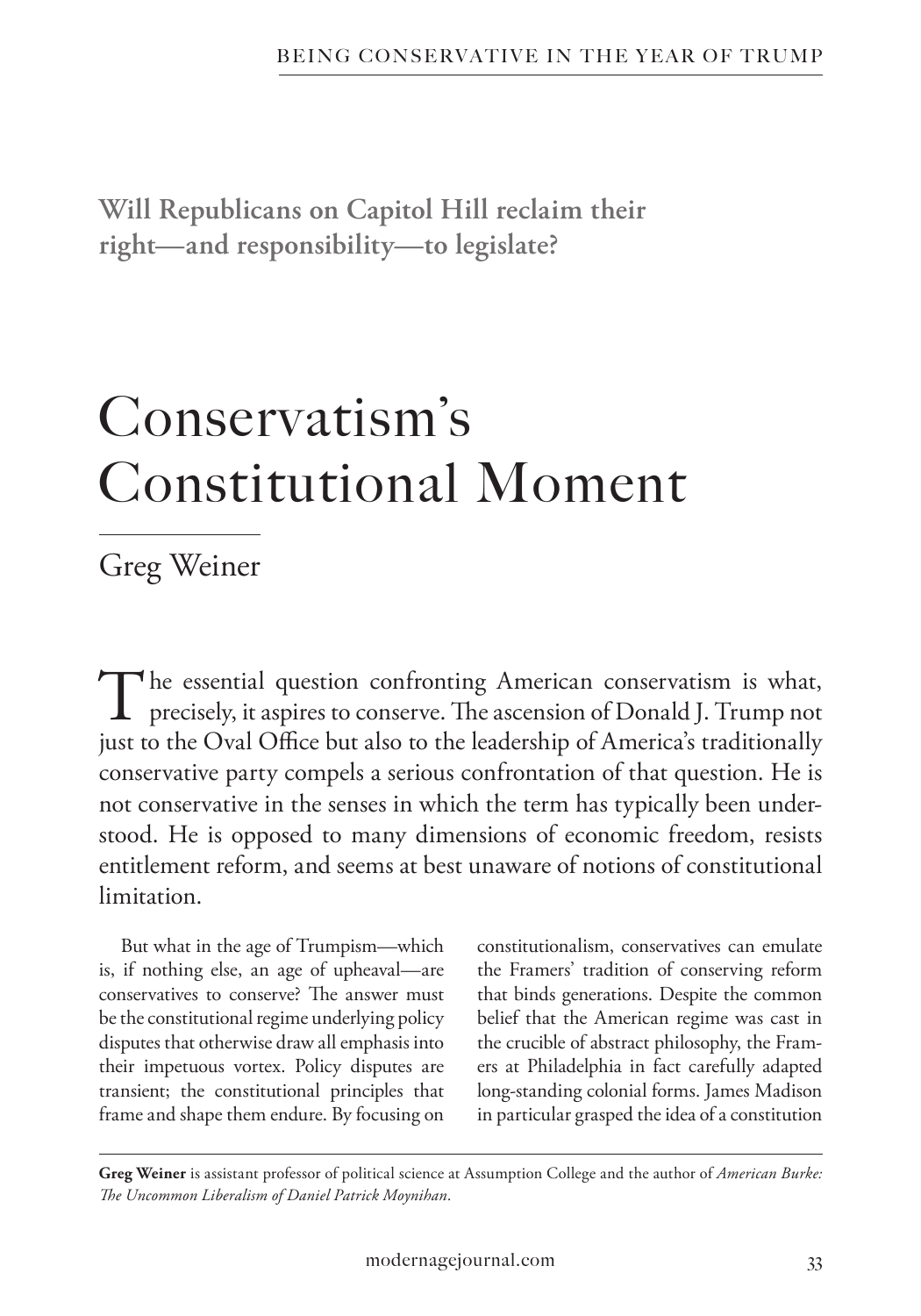**Will Republicans on Capitol Hill reclaim their right—and responsibility—to legislate?**

# Conservatism's Constitutional Moment

Greg Weiner

The essential question confronting American conservatism is what, precisely, it aspires to conserve. The ascension of Donald J. Trump not just to the Oval Office but also to the leadership of America's traditionally conservative party compels a serious confrontation of that question. He is not conservative in the senses in which the term has typically been understood. He is opposed to many dimensions of economic freedom, resists entitlement reform, and seems at best unaware of notions of constitutional limitation.

But what in the age of Trumpism—which is, if nothing else, an age of upheaval—are conservatives to conserve? The answer must be the constitutional regime underlying policy disputes that otherwise draw all emphasis into their impetuous vortex. Policy disputes are transient; the constitutional principles that frame and shape them endure. By focusing on constitutionalism, conservatives can emulate the Framers' tradition of conserving reform that binds generations. Despite the common belief that the American regime was cast in the crucible of abstract philosophy, the Framers at Philadelphia in fact carefully adapted long-standing colonial forms. James Madison in particular grasped the idea of a constitution

**Greg Weiner** is assistant professor of political science at Assumption College and the author of *American Burke: The Uncommon Liberalism of Daniel Patrick Moynihan*.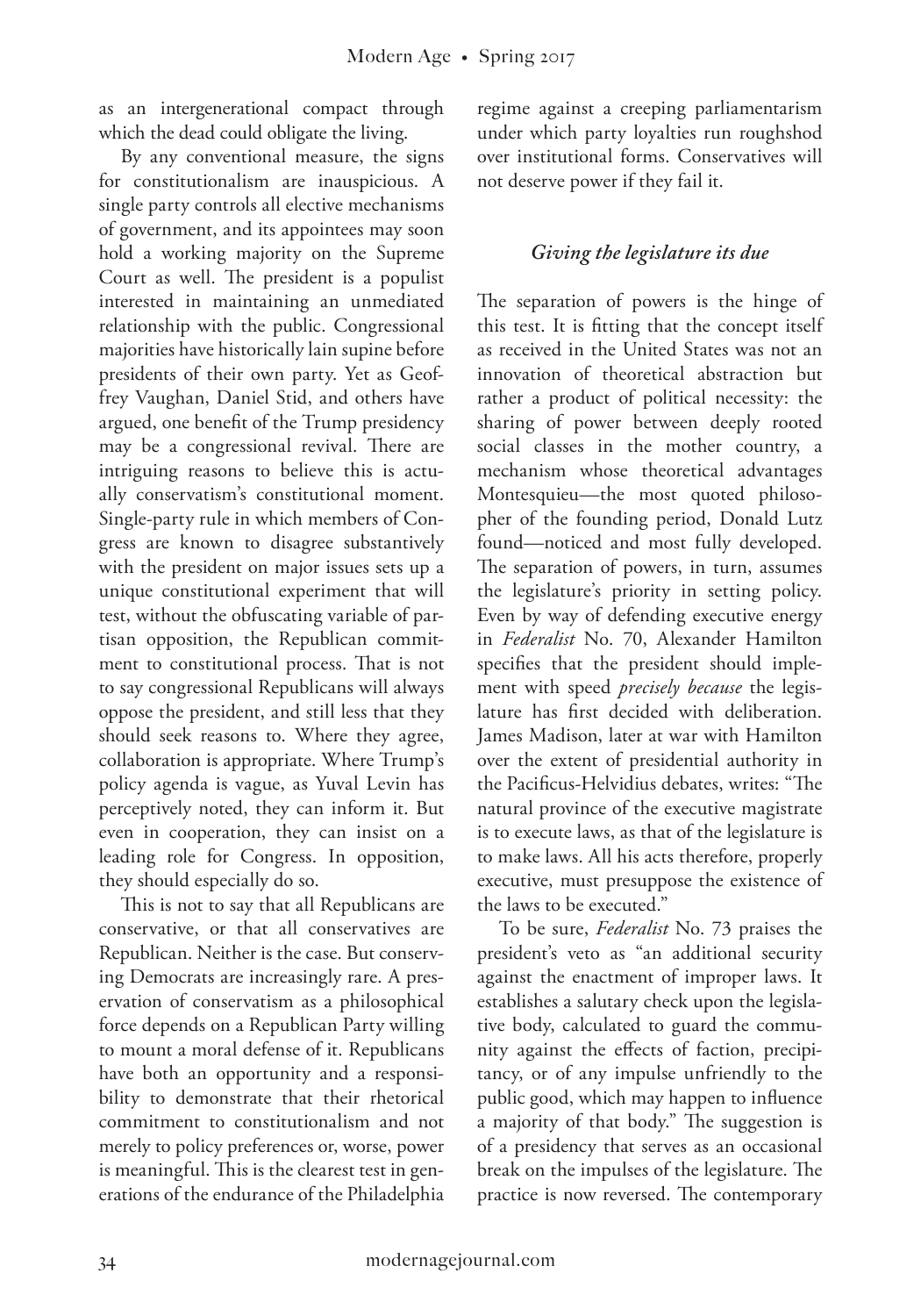as an intergenerational compact through which the dead could obligate the living.

By any conventional measure, the signs for constitutionalism are inauspicious. A single party controls all elective mechanisms of government, and its appointees may soon hold a working majority on the Supreme Court as well. The president is a populist interested in maintaining an unmediated relationship with the public. Congressional majorities have historically lain supine before presidents of their own party. Yet as Geoffrey Vaughan, Daniel Stid, and others have argued, one benefit of the Trump presidency may be a congressional revival. There are intriguing reasons to believe this is actually conservatism's constitutional moment. Single-party rule in which members of Congress are known to disagree substantively with the president on major issues sets up a unique constitutional experiment that will test, without the obfuscating variable of partisan opposition, the Republican commitment to constitutional process. That is not to say congressional Republicans will always oppose the president, and still less that they should seek reasons to. Where they agree, collaboration is appropriate. Where Trump's policy agenda is vague, as Yuval Levin has perceptively noted, they can inform it. But even in cooperation, they can insist on a leading role for Congress. In opposition, they should especially do so.

This is not to say that all Republicans are conservative, or that all conservatives are Republican. Neither is the case. But conserving Democrats are increasingly rare. A preservation of conservatism as a philosophical force depends on a Republican Party willing to mount a moral defense of it. Republicans have both an opportunity and a responsibility to demonstrate that their rhetorical commitment to constitutionalism and not merely to policy preferences or, worse, power is meaningful. This is the clearest test in generations of the endurance of the Philadelphia

regime against a creeping parliamentarism under which party loyalties run roughshod over institutional forms. Conservatives will not deserve power if they fail it.

### *Giving the legislature its due*

The separation of powers is the hinge of this test. It is fitting that the concept itself as received in the United States was not an innovation of theoretical abstraction but rather a product of political necessity: the sharing of power between deeply rooted social classes in the mother country, a mechanism whose theoretical advantages Montesquieu—the most quoted philosopher of the founding period, Donald Lutz found—noticed and most fully developed. The separation of powers, in turn, assumes the legislature's priority in setting policy. Even by way of defending executive energy in *Federalist* No. 70, Alexander Hamilton specifies that the president should implement with speed *precisely because* the legislature has first decided with deliberation. James Madison, later at war with Hamilton over the extent of presidential authority in the Pacificus-Helvidius debates, writes: "The natural province of the executive magistrate is to execute laws, as that of the legislature is to make laws. All his acts therefore, properly executive, must presuppose the existence of the laws to be executed."

To be sure, *Federalist* No. 73 praises the president's veto as "an additional security against the enactment of improper laws. It establishes a salutary check upon the legislative body, calculated to guard the community against the effects of faction, precipitancy, or of any impulse unfriendly to the public good, which may happen to influence a majority of that body." The suggestion is of a presidency that serves as an occasional break on the impulses of the legislature. The practice is now reversed. The contemporary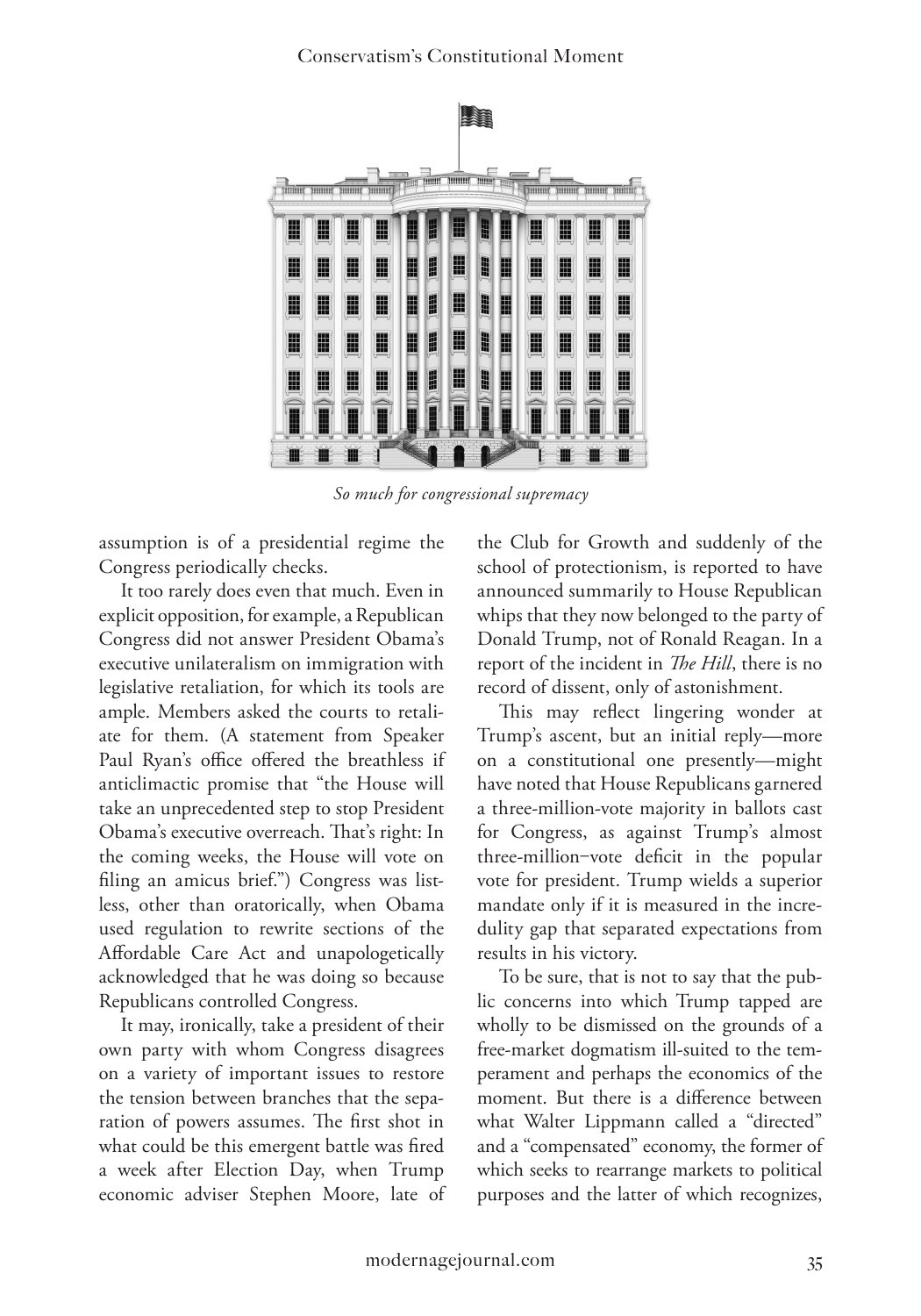

*So much for congressional supremacy*

assumption is of a presidential regime the Congress periodically checks.

It too rarely does even that much. Even in explicit opposition, for example, a Republican Congress did not answer President Obama's executive unilateralism on immigration with legislative retaliation, for which its tools are ample. Members asked the courts to retaliate for them. (A statement from Speaker Paul Ryan's office offered the breathless if anticlimactic promise that "the House will take an unprecedented step to stop President Obama's executive overreach. That's right: In the coming weeks, the House will vote on filing an amicus brief.") Congress was listless, other than oratorically, when Obama used regulation to rewrite sections of the Affordable Care Act and unapologetically acknowledged that he was doing so because Republicans controlled Congress.

It may, ironically, take a president of their own party with whom Congress disagrees on a variety of important issues to restore the tension between branches that the separation of powers assumes. The first shot in what could be this emergent battle was fired a week after Election Day, when Trump economic adviser Stephen Moore, late of

the Club for Growth and suddenly of the school of protectionism, is reported to have announced summarily to House Republican whips that they now belonged to the party of Donald Trump, not of Ronald Reagan. In a report of the incident in *The Hill*, there is no record of dissent, only of astonishment.

This may reflect lingering wonder at Trump's ascent, but an initial reply—more on a constitutional one presently—might have noted that House Republicans garnered a three-million-vote majority in ballots cast for Congress, as against Trump's almost three-million‒vote deficit in the popular vote for president. Trump wields a superior mandate only if it is measured in the incredulity gap that separated expectations from results in his victory.

To be sure, that is not to say that the public concerns into which Trump tapped are wholly to be dismissed on the grounds of a free-market dogmatism ill-suited to the temperament and perhaps the economics of the moment. But there is a difference between what Walter Lippmann called a "directed" and a "compensated" economy, the former of which seeks to rearrange markets to political purposes and the latter of which recognizes,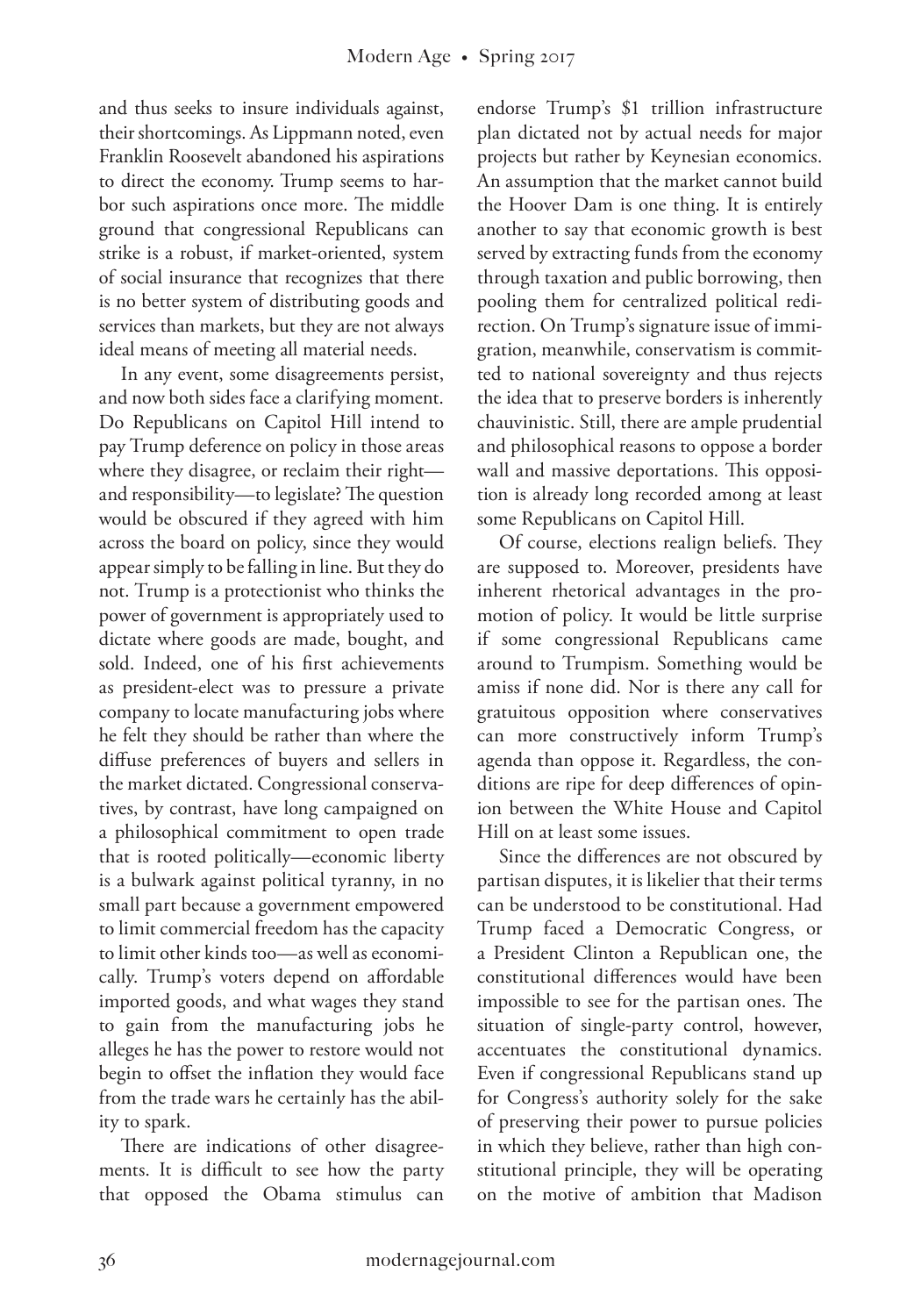and thus seeks to insure individuals against, their shortcomings. As Lippmann noted, even Franklin Roosevelt abandoned his aspirations to direct the economy. Trump seems to harbor such aspirations once more. The middle ground that congressional Republicans can strike is a robust, if market-oriented, system of social insurance that recognizes that there is no better system of distributing goods and services than markets, but they are not always ideal means of meeting all material needs.

In any event, some disagreements persist, and now both sides face a clarifying moment. Do Republicans on Capitol Hill intend to pay Trump deference on policy in those areas where they disagree, or reclaim their right and responsibility—to legislate? The question would be obscured if they agreed with him across the board on policy, since they would appear simply to be falling in line. But they do not. Trump is a protectionist who thinks the power of government is appropriately used to dictate where goods are made, bought, and sold. Indeed, one of his first achievements as president-elect was to pressure a private company to locate manufacturing jobs where he felt they should be rather than where the diffuse preferences of buyers and sellers in the market dictated. Congressional conservatives, by contrast, have long campaigned on a philosophical commitment to open trade that is rooted politically—economic liberty is a bulwark against political tyranny, in no small part because a government empowered to limit commercial freedom has the capacity to limit other kinds too—as well as economically. Trump's voters depend on affordable imported goods, and what wages they stand to gain from the manufacturing jobs he alleges he has the power to restore would not begin to offset the inflation they would face from the trade wars he certainly has the ability to spark.

There are indications of other disagreements. It is difficult to see how the party that opposed the Obama stimulus can

endorse Trump's \$1 trillion infrastructure plan dictated not by actual needs for major projects but rather by Keynesian economics. An assumption that the market cannot build the Hoover Dam is one thing. It is entirely another to say that economic growth is best served by extracting funds from the economy through taxation and public borrowing, then pooling them for centralized political redirection. On Trump's signature issue of immigration, meanwhile, conservatism is committed to national sovereignty and thus rejects the idea that to preserve borders is inherently chauvinistic. Still, there are ample prudential and philosophical reasons to oppose a border wall and massive deportations. This opposition is already long recorded among at least some Republicans on Capitol Hill.

Of course, elections realign beliefs. They are supposed to. Moreover, presidents have inherent rhetorical advantages in the promotion of policy. It would be little surprise if some congressional Republicans came around to Trumpism. Something would be amiss if none did. Nor is there any call for gratuitous opposition where conservatives can more constructively inform Trump's agenda than oppose it. Regardless, the conditions are ripe for deep differences of opinion between the White House and Capitol Hill on at least some issues.

Since the differences are not obscured by partisan disputes, it is likelier that their terms can be understood to be constitutional. Had Trump faced a Democratic Congress, or a President Clinton a Republican one, the constitutional differences would have been impossible to see for the partisan ones. The situation of single-party control, however, accentuates the constitutional dynamics. Even if congressional Republicans stand up for Congress's authority solely for the sake of preserving their power to pursue policies in which they believe, rather than high constitutional principle, they will be operating on the motive of ambition that Madison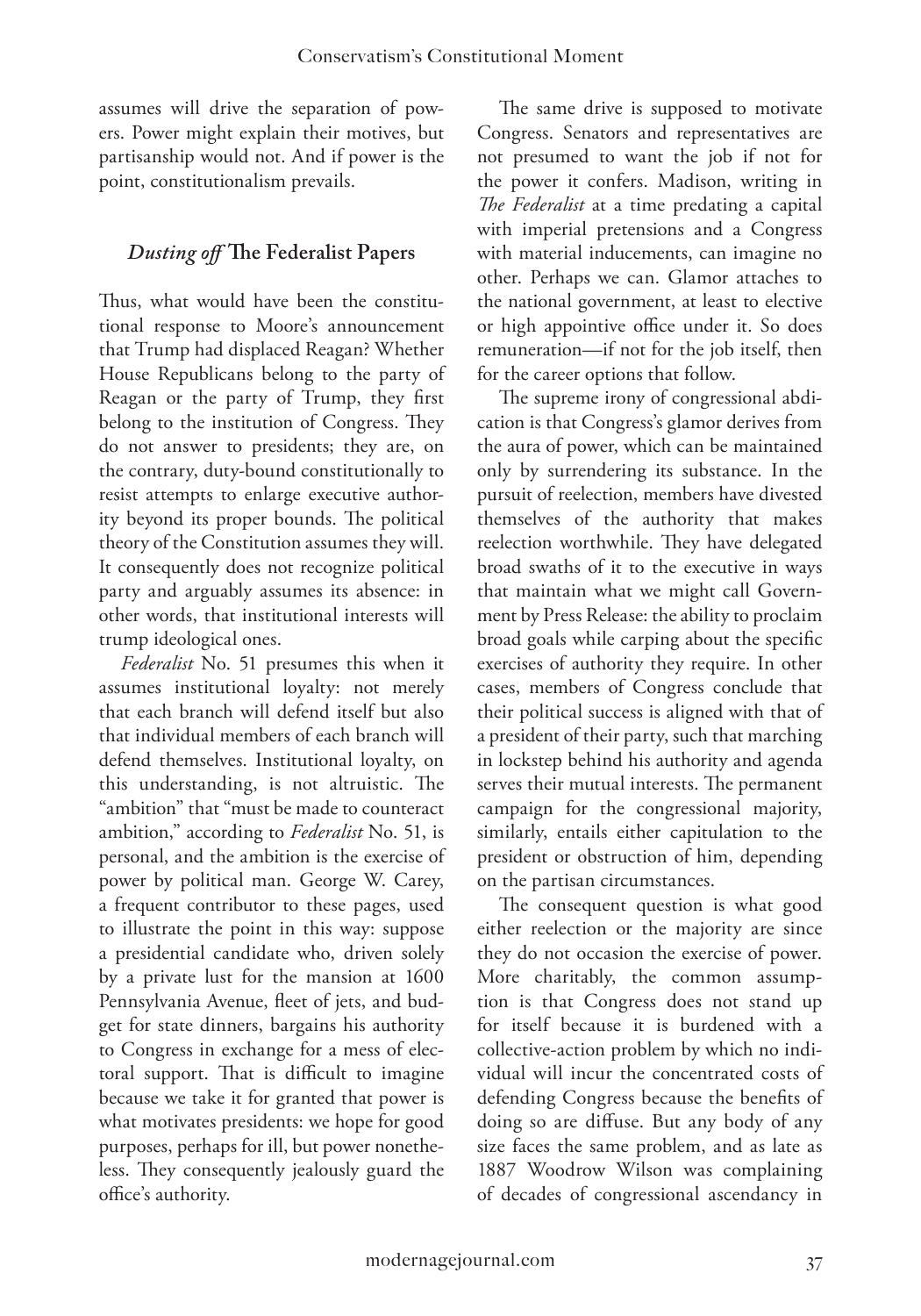assumes will drive the separation of powers. Power might explain their motives, but partisanship would not. And if power is the point, constitutionalism prevails.

### *Dusting off* **The Federalist Papers**

Thus, what would have been the constitutional response to Moore's announcement that Trump had displaced Reagan? Whether House Republicans belong to the party of Reagan or the party of Trump, they first belong to the institution of Congress. They do not answer to presidents; they are, on the contrary, duty-bound constitutionally to resist attempts to enlarge executive authority beyond its proper bounds. The political theory of the Constitution assumes they will. It consequently does not recognize political party and arguably assumes its absence: in other words, that institutional interests will trump ideological ones.

*Federalist* No. 51 presumes this when it assumes institutional loyalty: not merely that each branch will defend itself but also that individual members of each branch will defend themselves. Institutional loyalty, on this understanding, is not altruistic. The "ambition" that "must be made to counteract ambition," according to *Federalist* No. 51, is personal, and the ambition is the exercise of power by political man. George W. Carey, a frequent contributor to these pages, used to illustrate the point in this way: suppose a presidential candidate who, driven solely by a private lust for the mansion at 1600 Pennsylvania Avenue, fleet of jets, and budget for state dinners, bargains his authority to Congress in exchange for a mess of electoral support. That is difficult to imagine because we take it for granted that power is what motivates presidents: we hope for good purposes, perhaps for ill, but power nonetheless. They consequently jealously guard the office's authority.

The same drive is supposed to motivate Congress. Senators and representatives are not presumed to want the job if not for the power it confers. Madison, writing in *The Federalist* at a time predating a capital with imperial pretensions and a Congress with material inducements, can imagine no other. Perhaps we can. Glamor attaches to the national government, at least to elective or high appointive office under it. So does remuneration—if not for the job itself, then for the career options that follow.

The supreme irony of congressional abdication is that Congress's glamor derives from the aura of power, which can be maintained only by surrendering its substance. In the pursuit of reelection, members have divested themselves of the authority that makes reelection worthwhile. They have delegated broad swaths of it to the executive in ways that maintain what we might call Government by Press Release: the ability to proclaim broad goals while carping about the specific exercises of authority they require. In other cases, members of Congress conclude that their political success is aligned with that of a president of their party, such that marching in lockstep behind his authority and agenda serves their mutual interests. The permanent campaign for the congressional majority, similarly, entails either capitulation to the president or obstruction of him, depending on the partisan circumstances.

The consequent question is what good either reelection or the majority are since they do not occasion the exercise of power. More charitably, the common assumption is that Congress does not stand up for itself because it is burdened with a collective-action problem by which no individual will incur the concentrated costs of defending Congress because the benefits of doing so are diffuse. But any body of any size faces the same problem, and as late as 1887 Woodrow Wilson was complaining of decades of congressional ascendancy in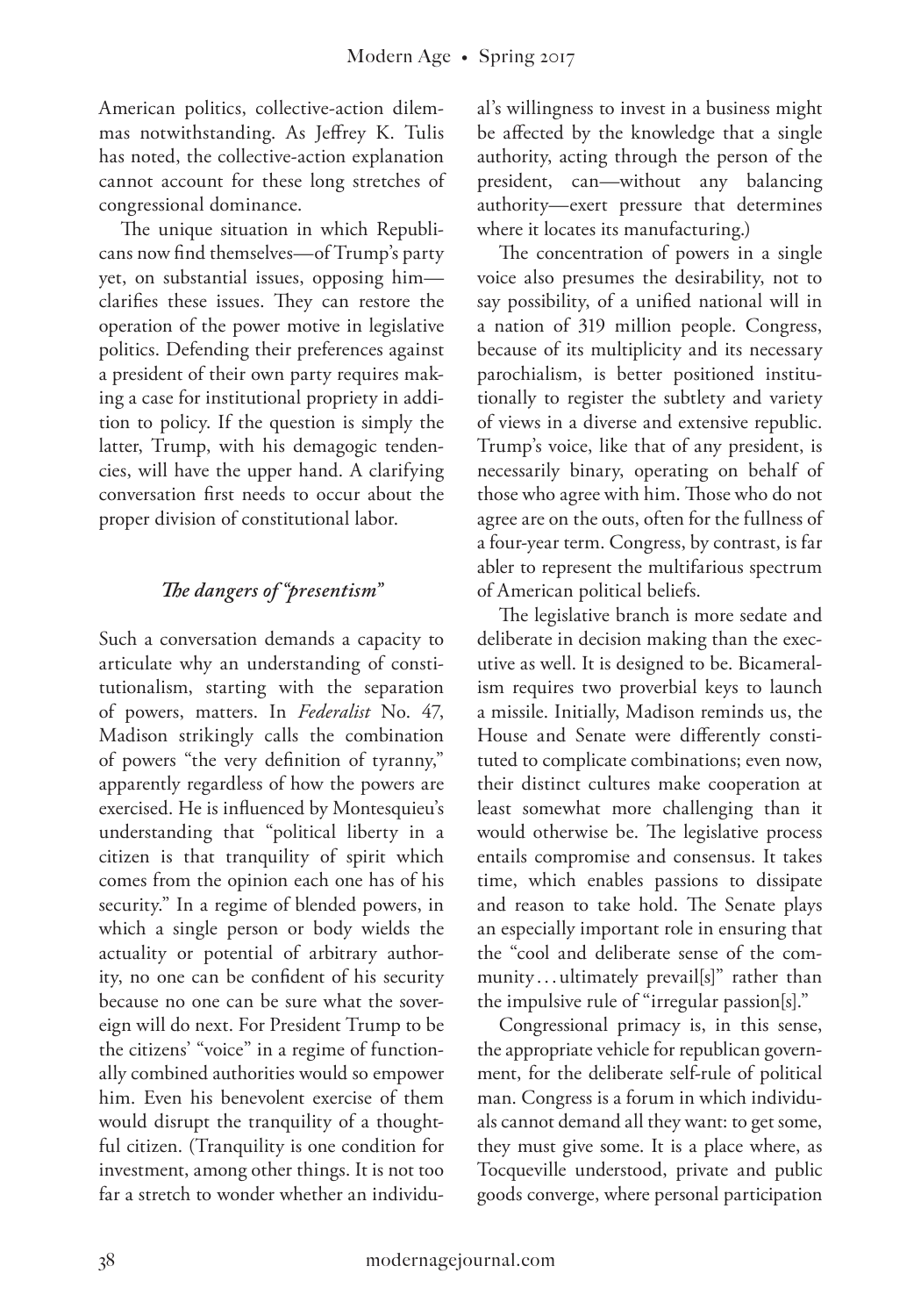American politics, collective-action dilemmas notwithstanding. As Jeffrey K. Tulis has noted, the collective-action explanation cannot account for these long stretches of congressional dominance.

The unique situation in which Republicans now find themselves—of Trump's party yet, on substantial issues, opposing him clarifies these issues. They can restore the operation of the power motive in legislative politics. Defending their preferences against a president of their own party requires making a case for institutional propriety in addition to policy. If the question is simply the latter, Trump, with his demagogic tendencies, will have the upper hand. A clarifying conversation first needs to occur about the proper division of constitutional labor.

### *The dangers of "presentism"*

Such a conversation demands a capacity to articulate why an understanding of constitutionalism, starting with the separation of powers, matters. In *Federalist* No. 47, Madison strikingly calls the combination of powers "the very definition of tyranny," apparently regardless of how the powers are exercised. He is influenced by Montesquieu's understanding that "political liberty in a citizen is that tranquility of spirit which comes from the opinion each one has of his security." In a regime of blended powers, in which a single person or body wields the actuality or potential of arbitrary authority, no one can be confident of his security because no one can be sure what the sovereign will do next. For President Trump to be the citizens' "voice" in a regime of functionally combined authorities would so empower him. Even his benevolent exercise of them would disrupt the tranquility of a thoughtful citizen. (Tranquility is one condition for investment, among other things. It is not too far a stretch to wonder whether an individu-

al's willingness to invest in a business might be affected by the knowledge that a single authority, acting through the person of the president, can—without any balancing authority—exert pressure that determines where it locates its manufacturing.)

The concentration of powers in a single voice also presumes the desirability, not to say possibility, of a unified national will in a nation of 319 million people. Congress, because of its multiplicity and its necessary parochialism, is better positioned institutionally to register the subtlety and variety of views in a diverse and extensive republic. Trump's voice, like that of any president, is necessarily binary, operating on behalf of those who agree with him. Those who do not agree are on the outs, often for the fullness of a four-year term. Congress, by contrast, is far abler to represent the multifarious spectrum of American political beliefs.

The legislative branch is more sedate and deliberate in decision making than the executive as well. It is designed to be. Bicameralism requires two proverbial keys to launch a missile. Initially, Madison reminds us, the House and Senate were differently constituted to complicate combinations; even now, their distinct cultures make cooperation at least somewhat more challenging than it would otherwise be. The legislative process entails compromise and consensus. It takes time, which enables passions to dissipate and reason to take hold. The Senate plays an especially important role in ensuring that the "cool and deliberate sense of the community ...ultimately prevail[s]" rather than the impulsive rule of "irregular passion[s]."

Congressional primacy is, in this sense, the appropriate vehicle for republican government, for the deliberate self-rule of political man. Congress is a forum in which individuals cannot demand all they want: to get some, they must give some. It is a place where, as Tocqueville understood, private and public goods converge, where personal participation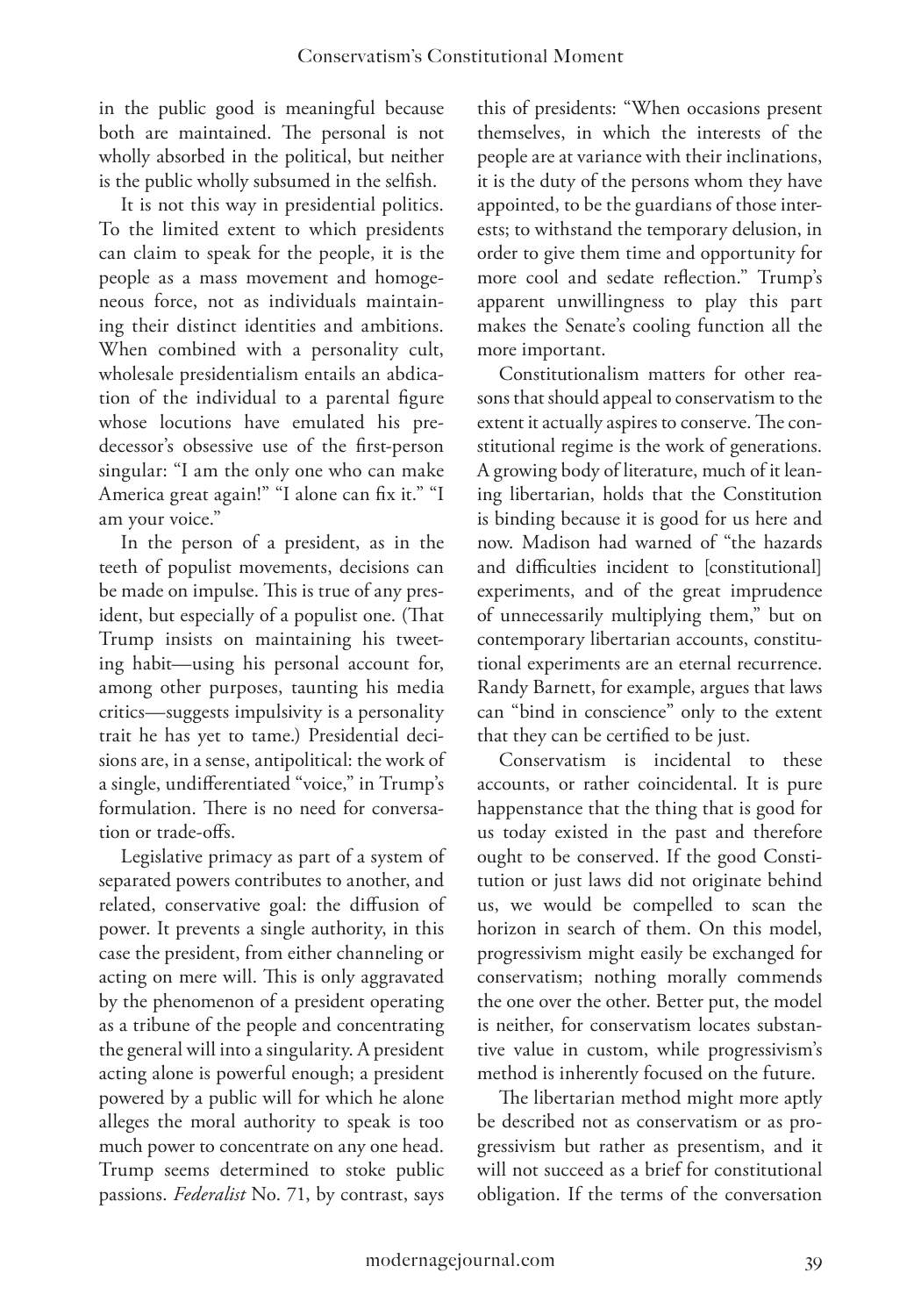in the public good is meaningful because both are maintained. The personal is not wholly absorbed in the political, but neither is the public wholly subsumed in the selfish.

It is not this way in presidential politics. To the limited extent to which presidents can claim to speak for the people, it is the people as a mass movement and homogeneous force, not as individuals maintaining their distinct identities and ambitions. When combined with a personality cult, wholesale presidentialism entails an abdication of the individual to a parental figure whose locutions have emulated his predecessor's obsessive use of the first-person singular: "I am the only one who can make America great again!" "I alone can fix it." "I am your voice."

In the person of a president, as in the teeth of populist movements, decisions can be made on impulse. This is true of any president, but especially of a populist one. (That Trump insists on maintaining his tweeting habit—using his personal account for, among other purposes, taunting his media critics—suggests impulsivity is a personality trait he has yet to tame.) Presidential decisions are, in a sense, antipolitical: the work of a single, undifferentiated "voice," in Trump's formulation. There is no need for conversation or trade-offs.

Legislative primacy as part of a system of separated powers contributes to another, and related, conservative goal: the diffusion of power. It prevents a single authority, in this case the president, from either channeling or acting on mere will. This is only aggravated by the phenomenon of a president operating as a tribune of the people and concentrating the general will into a singularity. A president acting alone is powerful enough; a president powered by a public will for which he alone alleges the moral authority to speak is too much power to concentrate on any one head. Trump seems determined to stoke public passions. *Federalist* No. 71, by contrast, says

this of presidents: "When occasions present themselves, in which the interests of the people are at variance with their inclinations, it is the duty of the persons whom they have appointed, to be the guardians of those interests; to withstand the temporary delusion, in order to give them time and opportunity for more cool and sedate reflection." Trump's apparent unwillingness to play this part makes the Senate's cooling function all the more important.

Constitutionalism matters for other reasons that should appeal to conservatism to the extent it actually aspires to conserve. The constitutional regime is the work of generations. A growing body of literature, much of it leaning libertarian, holds that the Constitution is binding because it is good for us here and now. Madison had warned of "the hazards and difficulties incident to [constitutional] experiments, and of the great imprudence of unnecessarily multiplying them," but on contemporary libertarian accounts, constitutional experiments are an eternal recurrence. Randy Barnett, for example, argues that laws can "bind in conscience" only to the extent that they can be certified to be just.

Conservatism is incidental to these accounts, or rather coincidental. It is pure happenstance that the thing that is good for us today existed in the past and therefore ought to be conserved. If the good Constitution or just laws did not originate behind us, we would be compelled to scan the horizon in search of them. On this model, progressivism might easily be exchanged for conservatism; nothing morally commends the one over the other. Better put, the model is neither, for conservatism locates substantive value in custom, while progressivism's method is inherently focused on the future.

The libertarian method might more aptly be described not as conservatism or as progressivism but rather as presentism, and it will not succeed as a brief for constitutional obligation. If the terms of the conversation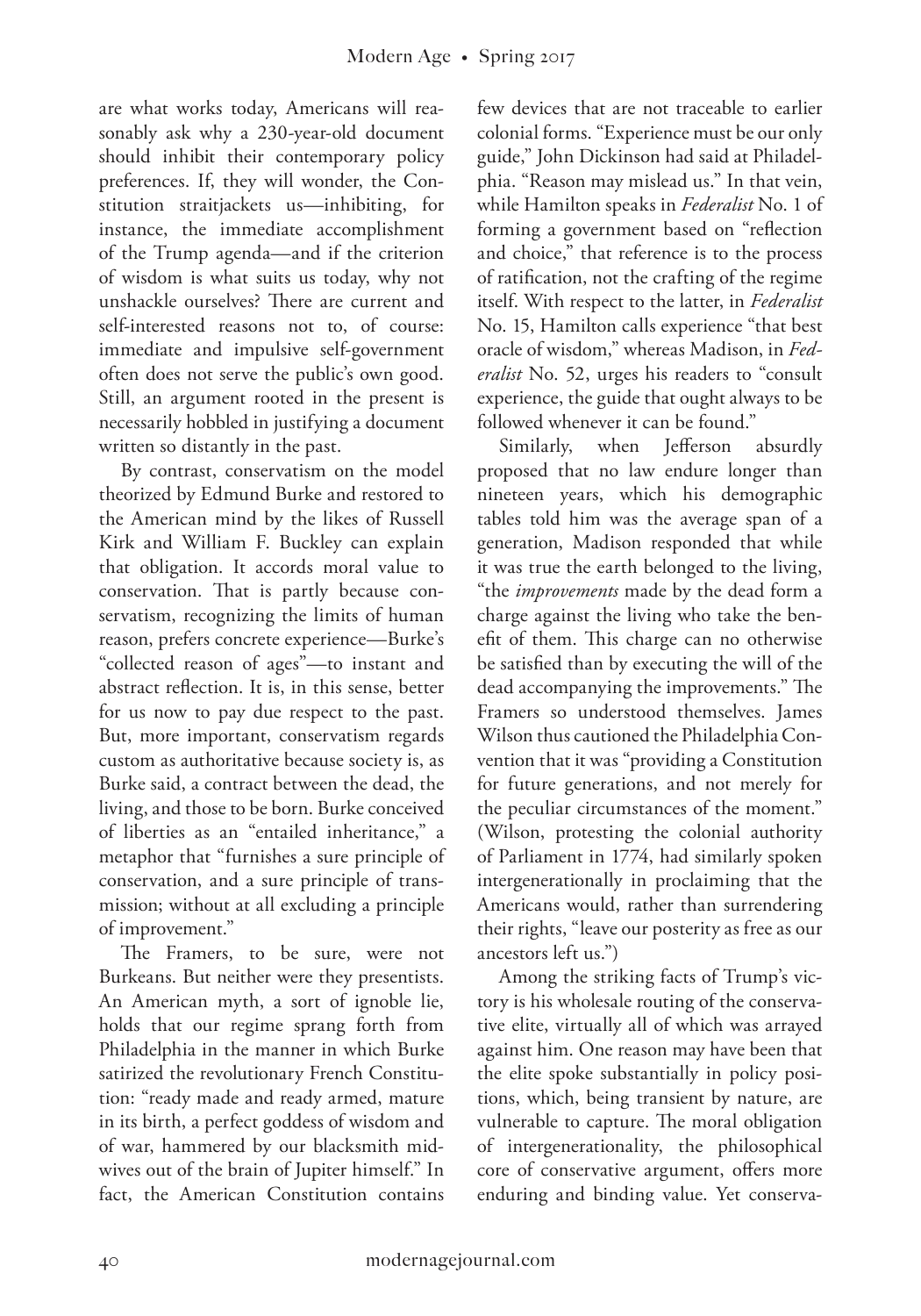are what works today, Americans will reasonably ask why a 230-year-old document should inhibit their contemporary policy preferences. If, they will wonder, the Constitution straitjackets us—inhibiting, for instance, the immediate accomplishment of the Trump agenda—and if the criterion of wisdom is what suits us today, why not unshackle ourselves? There are current and self-interested reasons not to, of course: immediate and impulsive self-government often does not serve the public's own good. Still, an argument rooted in the present is necessarily hobbled in justifying a document written so distantly in the past.

By contrast, conservatism on the model theorized by Edmund Burke and restored to the American mind by the likes of Russell Kirk and William F. Buckley can explain that obligation. It accords moral value to conservation. That is partly because conservatism, recognizing the limits of human reason, prefers concrete experience—Burke's "collected reason of ages"—to instant and abstract reflection. It is, in this sense, better for us now to pay due respect to the past. But, more important, conservatism regards custom as authoritative because society is, as Burke said, a contract between the dead, the living, and those to be born. Burke conceived of liberties as an "entailed inheritance," a metaphor that "furnishes a sure principle of conservation, and a sure principle of transmission; without at all excluding a principle of improvement."

The Framers, to be sure, were not Burkeans. But neither were they presentists. An American myth, a sort of ignoble lie, holds that our regime sprang forth from Philadelphia in the manner in which Burke satirized the revolutionary French Constitution: "ready made and ready armed, mature in its birth, a perfect goddess of wisdom and of war, hammered by our blacksmith midwives out of the brain of Jupiter himself." In fact, the American Constitution contains

few devices that are not traceable to earlier colonial forms. "Experience must be our only guide," John Dickinson had said at Philadelphia. "Reason may mislead us." In that vein, while Hamilton speaks in *Federalist* No. 1 of forming a government based on "reflection and choice," that reference is to the process of ratification, not the crafting of the regime itself. With respect to the latter, in *Federalist*  No. 15, Hamilton calls experience "that best oracle of wisdom," whereas Madison, in *Federalist* No. 52, urges his readers to "consult experience, the guide that ought always to be followed whenever it can be found."

Similarly, when Jefferson absurdly proposed that no law endure longer than nineteen years, which his demographic tables told him was the average span of a generation, Madison responded that while it was true the earth belonged to the living, "the *improvements* made by the dead form a charge against the living who take the benefit of them. This charge can no otherwise be satisfied than by executing the will of the dead accompanying the improvements." The Framers so understood themselves. James Wilson thus cautioned the Philadelphia Convention that it was "providing a Constitution for future generations, and not merely for the peculiar circumstances of the moment." (Wilson, protesting the colonial authority of Parliament in 1774, had similarly spoken intergenerationally in proclaiming that the Americans would, rather than surrendering their rights, "leave our posterity as free as our ancestors left us.")

Among the striking facts of Trump's victory is his wholesale routing of the conservative elite, virtually all of which was arrayed against him. One reason may have been that the elite spoke substantially in policy positions, which, being transient by nature, are vulnerable to capture. The moral obligation of intergenerationality, the philosophical core of conservative argument, offers more enduring and binding value. Yet conserva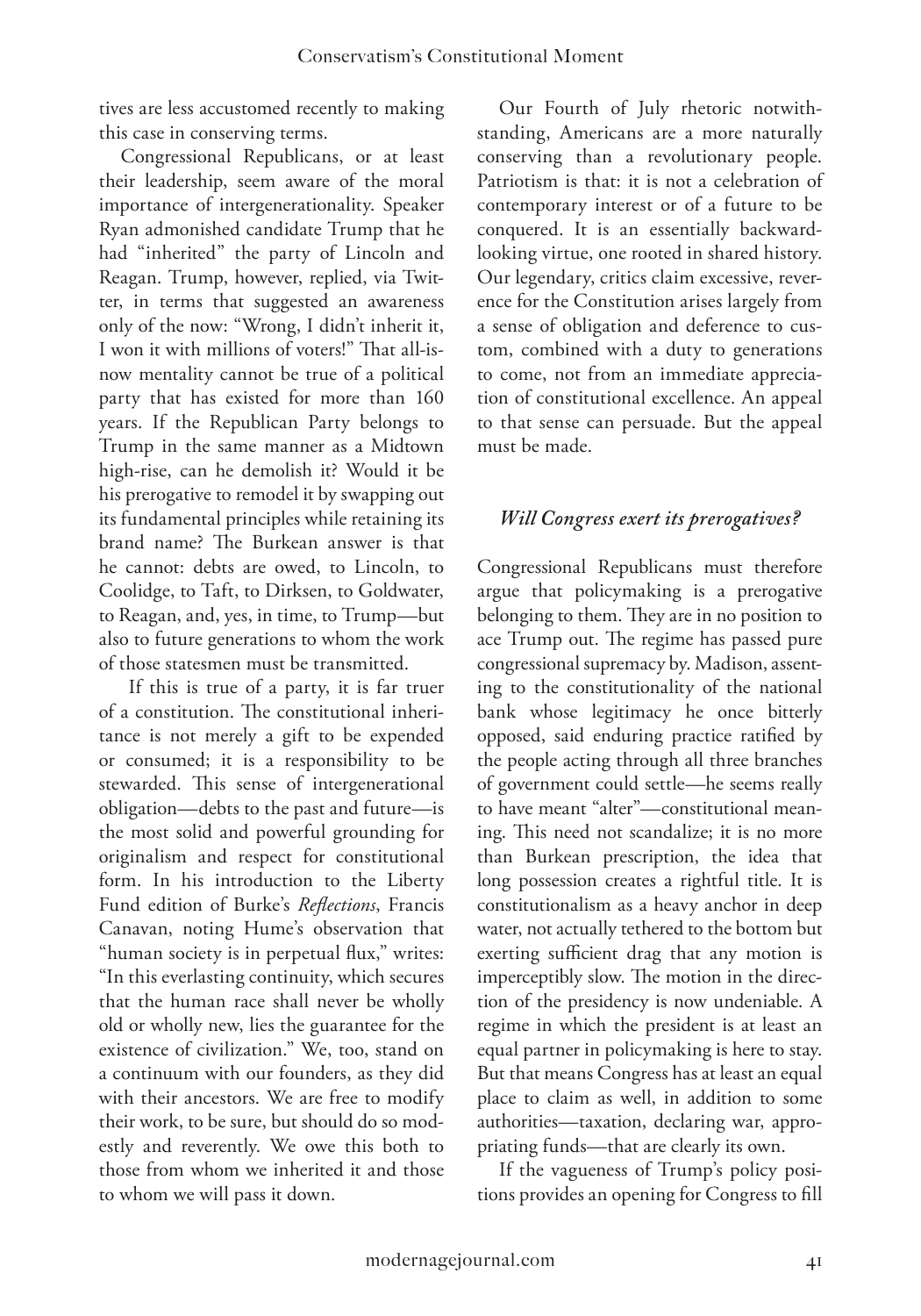tives are less accustomed recently to making this case in conserving terms.

Congressional Republicans, or at least their leadership, seem aware of the moral importance of intergenerationality. Speaker Ryan admonished candidate Trump that he had "inherited" the party of Lincoln and Reagan. Trump, however, replied, via Twitter, in terms that suggested an awareness only of the now: "Wrong, I didn't inherit it, I won it with millions of voters!" That all-isnow mentality cannot be true of a political party that has existed for more than 160 years. If the Republican Party belongs to Trump in the same manner as a Midtown high-rise, can he demolish it? Would it be his prerogative to remodel it by swapping out its fundamental principles while retaining its brand name? The Burkean answer is that he cannot: debts are owed, to Lincoln, to Coolidge, to Taft, to Dirksen, to Goldwater, to Reagan, and, yes, in time, to Trump—but also to future generations to whom the work of those statesmen must be transmitted.

 If this is true of a party, it is far truer of a constitution. The constitutional inheritance is not merely a gift to be expended or consumed; it is a responsibility to be stewarded. This sense of intergenerational obligation—debts to the past and future—is the most solid and powerful grounding for originalism and respect for constitutional form. In his introduction to the Liberty Fund edition of Burke's *Reflections*, Francis Canavan, noting Hume's observation that "human society is in perpetual flux," writes: "In this everlasting continuity, which secures that the human race shall never be wholly old or wholly new, lies the guarantee for the existence of civilization." We, too, stand on a continuum with our founders, as they did with their ancestors. We are free to modify their work, to be sure, but should do so modestly and reverently. We owe this both to those from whom we inherited it and those to whom we will pass it down.

Our Fourth of July rhetoric notwithstanding, Americans are a more naturally conserving than a revolutionary people. Patriotism is that: it is not a celebration of contemporary interest or of a future to be conquered. It is an essentially backwardlooking virtue, one rooted in shared history. Our legendary, critics claim excessive, reverence for the Constitution arises largely from a sense of obligation and deference to custom, combined with a duty to generations to come, not from an immediate appreciation of constitutional excellence. An appeal to that sense can persuade. But the appeal must be made.

### *Will Congress exert its prerogatives?*

Congressional Republicans must therefore argue that policymaking is a prerogative belonging to them. They are in no position to ace Trump out. The regime has passed pure congressional supremacy by. Madison, assenting to the constitutionality of the national bank whose legitimacy he once bitterly opposed, said enduring practice ratified by the people acting through all three branches of government could settle—he seems really to have meant "alter"—constitutional meaning. This need not scandalize; it is no more than Burkean prescription, the idea that long possession creates a rightful title. It is constitutionalism as a heavy anchor in deep water, not actually tethered to the bottom but exerting sufficient drag that any motion is imperceptibly slow. The motion in the direction of the presidency is now undeniable. A regime in which the president is at least an equal partner in policymaking is here to stay. But that means Congress has at least an equal place to claim as well, in addition to some authorities—taxation, declaring war, appropriating funds—that are clearly its own.

If the vagueness of Trump's policy positions provides an opening for Congress to fill